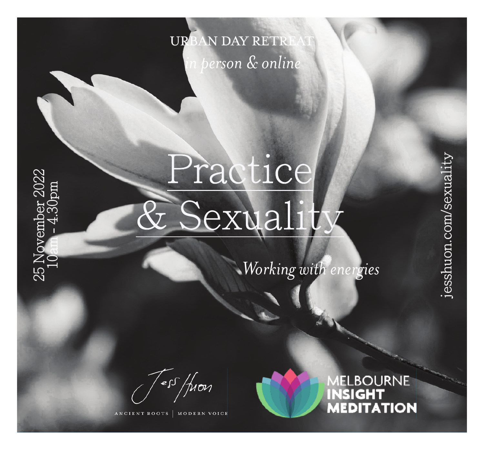## URBAN DAY RETRI *in person & online*

# Practice & Sexuality

*Working with energies*

ess /fron

25 November 2022 10am - 4.30pm

25 November<br>10an - 4 30

MODERN VOICE ROOTS



jesshuon.com/sexuality

jesshuon.com/sexuali